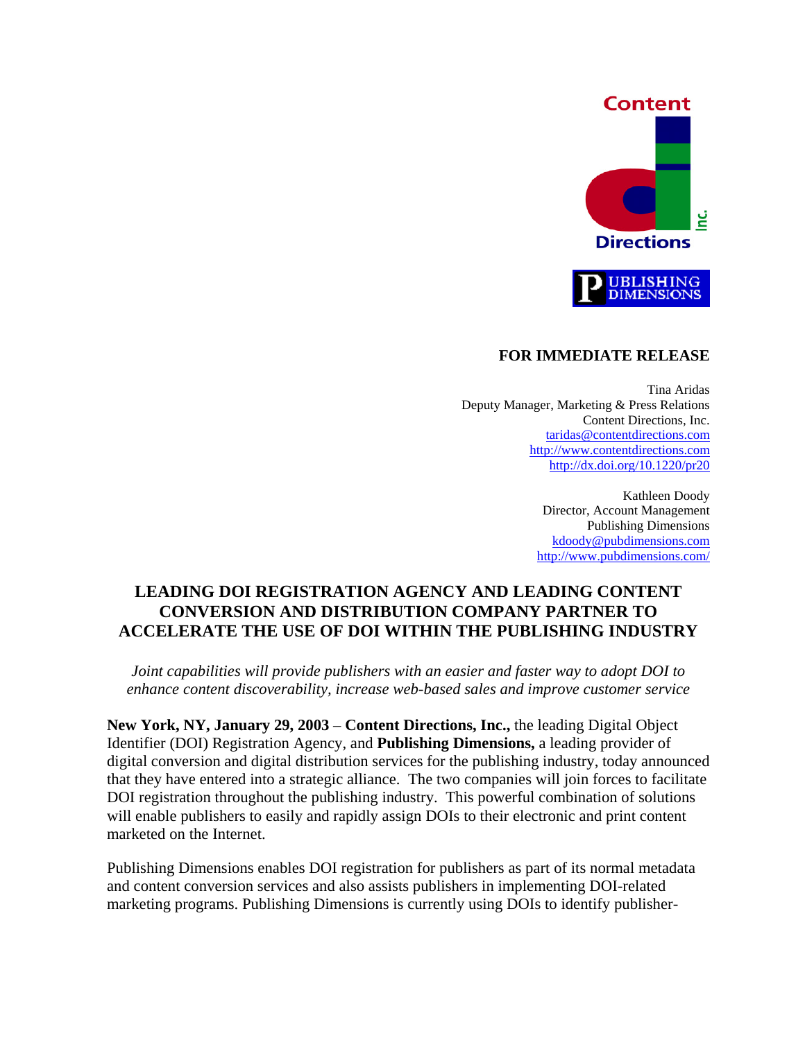

#### **FOR IMMEDIATE RELEASE**

 Tina Aridas Deputy Manager, Marketing & Press Relations Content Directions, Inc. [taridas@contentdirections.com](mailto:taridas@contentdirections.com) [http://www.contentdirections.com](http://www.contentdirections.com/) <http://dx.doi.org/10.1220/pr20>

> Kathleen Doody Director, Account Management Publishing Dimensions [kdoody@pubdimensions.com](mailto:kdoody@pubdimensions.com) <http://www.pubdimensions.com/>

# **LEADING DOI REGISTRATION AGENCY AND LEADING CONTENT CONVERSION AND DISTRIBUTION COMPANY PARTNER TO ACCELERATE THE USE OF DOI WITHIN THE PUBLISHING INDUSTRY**

*Joint capabilities will provide publishers with an easier and faster way to adopt DOI to enhance content discoverability, increase web-based sales and improve customer service* 

**New York, NY, January 29, 2003** – **Content Directions, Inc.,** the leading Digital Object Identifier (DOI) Registration Agency, and **Publishing Dimensions,** a leading provider of digital conversion and digital distribution services for the publishing industry, today announced that they have entered into a strategic alliance. The two companies will join forces to facilitate DOI registration throughout the publishing industry. This powerful combination of solutions will enable publishers to easily and rapidly assign DOIs to their electronic and print content marketed on the Internet.

Publishing Dimensions enables DOI registration for publishers as part of its normal metadata and content conversion services and also assists publishers in implementing DOI-related marketing programs. Publishing Dimensions is currently using DOIs to identify publisher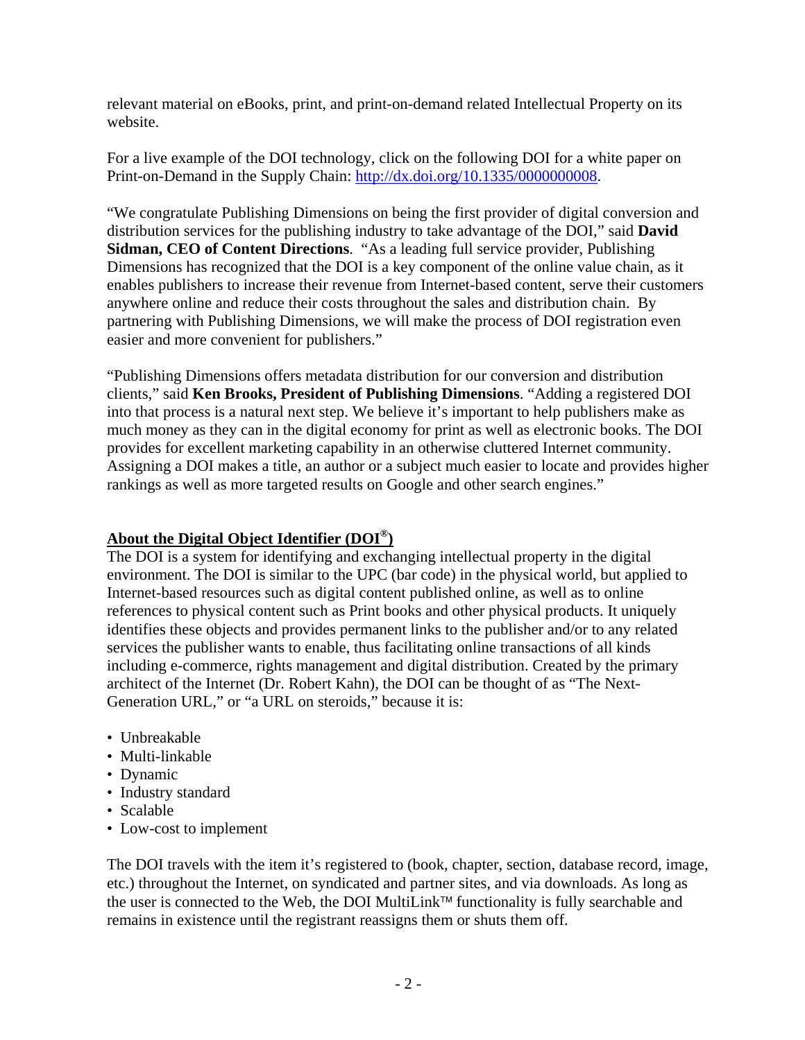relevant material on eBooks, print, and print-on-demand related Intellectual Property on its website.

For a live example of the DOI technology, click on the following DOI for a white paper on Print-on-Demand in the Supply Chain:<http://dx.doi.org/10.1335/0000000008>.

"We congratulate Publishing Dimensions on being the first provider of digital conversion and distribution services for the publishing industry to take advantage of the DOI," said **David Sidman, CEO of Content Directions**. "As a leading full service provider, Publishing Dimensions has recognized that the DOI is a key component of the online value chain, as it enables publishers to increase their revenue from Internet-based content, serve their customers anywhere online and reduce their costs throughout the sales and distribution chain. By partnering with Publishing Dimensions, we will make the process of DOI registration even easier and more convenient for publishers."

"Publishing Dimensions offers metadata distribution for our conversion and distribution clients," said **Ken Brooks, President of Publishing Dimensions**. "Adding a registered DOI into that process is a natural next step. We believe it's important to help publishers make as much money as they can in the digital economy for print as well as electronic books. The DOI provides for excellent marketing capability in an otherwise cluttered Internet community. Assigning a DOI makes a title, an author or a subject much easier to locate and provides higher rankings as well as more targeted results on Google and other search engines."

### **About the Digital Object Identifier (DOI®)**

The DOI is a system for identifying and exchanging intellectual property in the digital environment. The DOI is similar to the UPC (bar code) in the physical world, but applied to Internet-based resources such as digital content published online, as well as to online references to physical content such as Print books and other physical products. It uniquely identifies these objects and provides permanent links to the publisher and/or to any related services the publisher wants to enable, thus facilitating online transactions of all kinds including e-commerce, rights management and digital distribution. Created by the primary architect of the Internet (Dr. Robert Kahn), the DOI can be thought of as "The Next-Generation URL," or "a URL on steroids," because it is:

- Unbreakable
- Multi-linkable
- Dynamic
- Industry standard
- Scalable
- Low-cost to implement

The DOI travels with the item it's registered to (book, chapter, section, database record, image, etc.) throughout the Internet, on syndicated and partner sites, and via downloads. As long as the user is connected to the Web, the DOI MultiLink<sup>TM</sup> functionality is fully searchable and remains in existence until the registrant reassigns them or shuts them off.